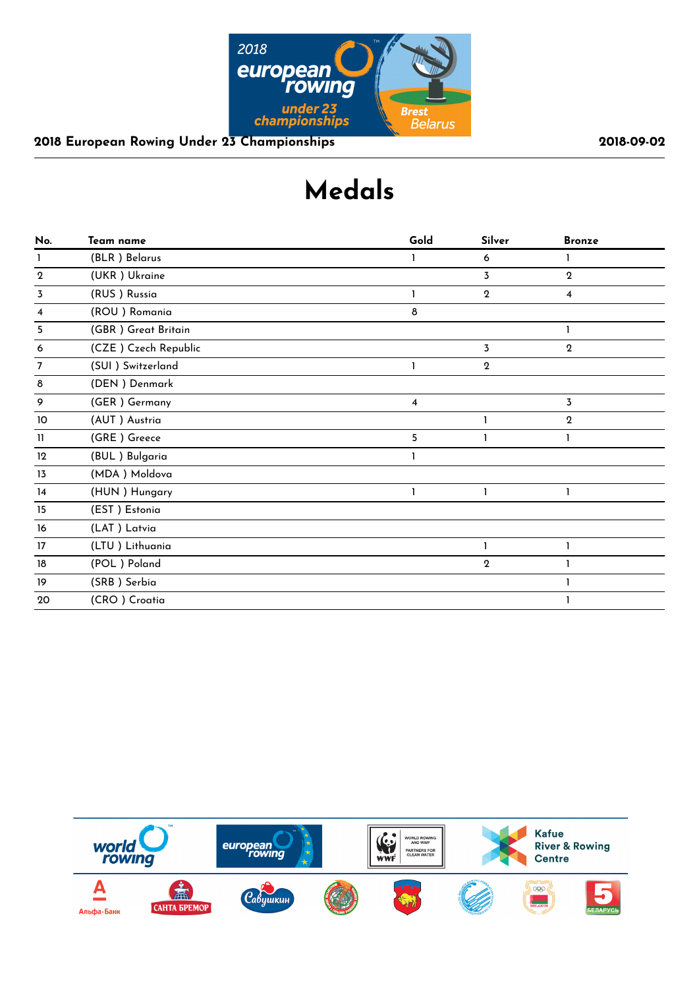

# **Medals**

| No.         | Team name            | Gold | Silver       | <b>Bronze</b>           |  |
|-------------|----------------------|------|--------------|-------------------------|--|
| ı           | (BLR) Belarus        |      | 6            |                         |  |
| $\mathbf 2$ | (UKR) Ukraine        |      | 3            | $\mathbf{2}$            |  |
| 3           | (RUS) Russia         |      | $\mathbf{2}$ | $\overline{\mathbf{4}}$ |  |
| 4           | (ROU) Romania        | 8    |              |                         |  |
| 5           | (GBR) Great Britain  |      |              |                         |  |
| 6           | (CZE) Czech Republic |      | 3            | $\boldsymbol{2}$        |  |
| 7           | (SUI) Switzerland    |      | $\mathbf 2$  |                         |  |
| 8           | (DEN) Denmark        |      |              |                         |  |
| 9           | (GER) Germany        | 4    |              | 3                       |  |
| 10          | (AUT) Austria        |      |              | $\mathbf 2$             |  |
| 11          | (GRE) Greece         | 5    | ı            | 1                       |  |
| 12          | (BUL) Bulgaria       |      |              |                         |  |
| 13          | (MDA) Moldova        |      |              |                         |  |
| 14          | (HUN) Hungary        |      |              |                         |  |
| 15          | (EST) Estonia        |      |              |                         |  |
| 16          | (LAT) Latvia         |      |              |                         |  |
| 17          | (LTU) Lithuania      |      | 1            | 1                       |  |
| 18          | (POL) Poland         |      | $\mathbf 2$  |                         |  |
| 19          | (SRB) Serbia         |      |              |                         |  |
| 20          | (CRO) Croatia        |      |              |                         |  |
|             |                      |      |              |                         |  |

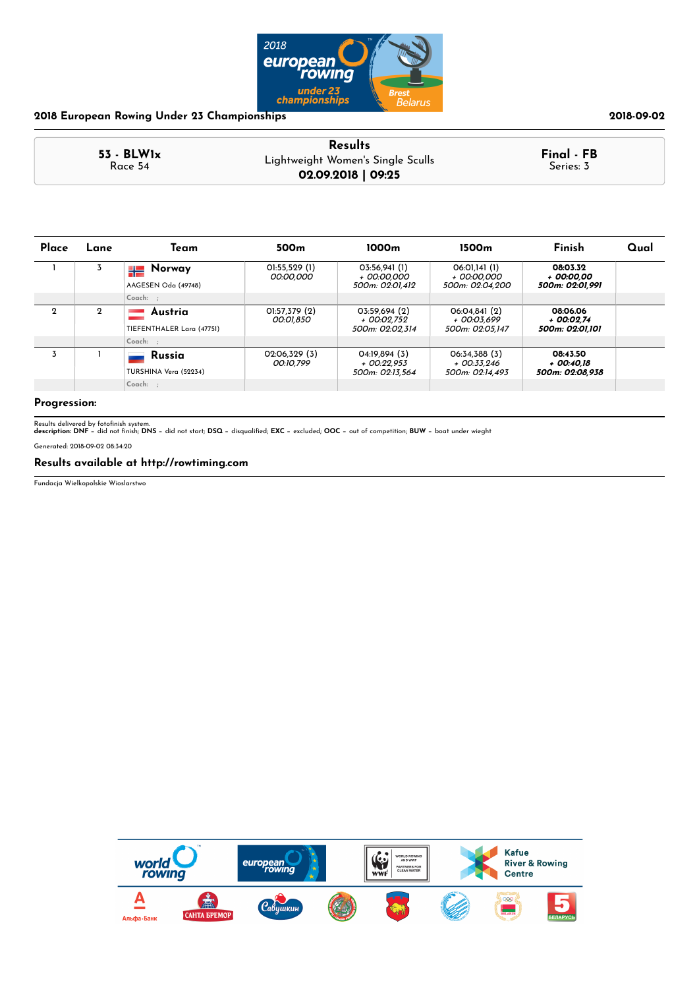

| 2018-09-0 |  |  |
|-----------|--|--|
|-----------|--|--|

| $53 - BLW1x$ | <b>Results</b>                                          | Final - FB<br>Series: 3 |
|--------------|---------------------------------------------------------|-------------------------|
| Race 54      | Lightweight Women's Single Sculls<br>02.09.2018   09:25 |                         |

| Place       | Lane        | Team                                 | 500 <sub>m</sub>           | 1000 <sub>m</sub>                                 | 1500m                                           | Finish                                    | Qual |
|-------------|-------------|--------------------------------------|----------------------------|---------------------------------------------------|-------------------------------------------------|-------------------------------------------|------|
|             |             | Norway<br>╬<br>AAGESEN Oda (49748)   | 01:55,529 (1)<br>00:00.000 | 03:56.941(1)<br>+ 00:00.000<br>500m: 02:01.412    | 06:01.141 (1)<br>+ 00:00.000<br>500m: 02:04.200 | 08:03.32<br>+ 00:00.00<br>500m: 02:01.991 |      |
|             |             | $Coach:$ :                           |                            |                                                   |                                                 |                                           |      |
| $\mathbf 2$ | $\mathbf 2$ | Austria<br>TIEFENTHALER Lara (47751) | 01:57,379 (2)<br>00:01,850 | 03:59.694 (2)<br>+ 00:02.752<br>500m: 02:02.314   | 06:04.841 (2)<br>+ 00:03.699<br>500m: 02:05.147 | 08:06.06<br>+ 00:02.74<br>500m: 02:01.101 |      |
|             |             | $Coach:$ :                           |                            |                                                   |                                                 |                                           |      |
| 3           |             | Russia<br>TURSHINA Vera (52234)      | 02:06,329 (3)<br>00:10.799 | 04:19.894 (3)<br>$+$ 00:22.953<br>500m: 02:13.564 | 06:34.388 (3)<br>+ 00:33.246<br>500m: 02:14.493 | 08:43.50<br>+ 00:40.18<br>500m: 02:08.938 |      |
|             |             | Coach: ;                             |                            |                                                   |                                                 |                                           |      |

### **Progression:**

Results delivered by fotofinish system.<br>**description: DNF** − did not finish; **DNS** − did not start; **DSQ** − disqualified; **EXC** − excluded; **OOC** − out of competition; **BUW** − boat under wieght

Generated: 2018-09-02 08:34:20

### **Results available at http://rowtiming.com**

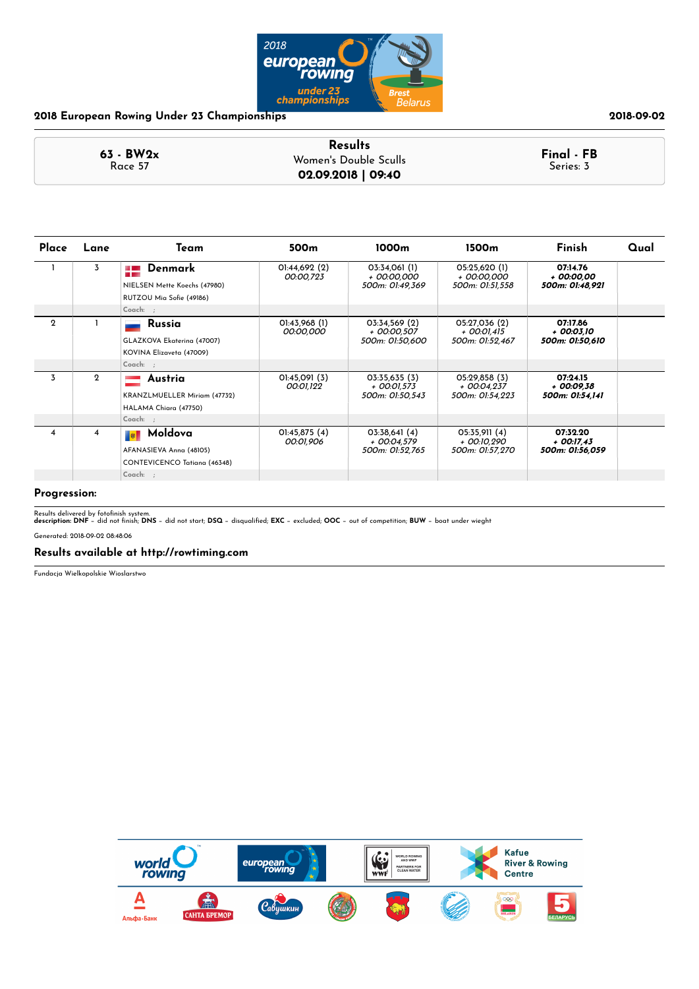

|                        | <b>Results</b>        |                         |
|------------------------|-----------------------|-------------------------|
| $63 - BW2x$<br>Race 57 | Women's Double Sculls | Final - FB<br>Series: 3 |
|                        | 02.09.2018   09:40    |                         |

| Place       | Lane        | Team                                                                                             | 500m                            | 1000m                                           | 1500m                                             | Finish                                      | Qual |
|-------------|-------------|--------------------------------------------------------------------------------------------------|---------------------------------|-------------------------------------------------|---------------------------------------------------|---------------------------------------------|------|
|             | 3           | $\blacksquare$ Denmark<br>NIELSEN Mette Koechs (47980)<br>RUTZOU Mia Sofie (49186)<br>$Coach:$ ; | $O$ l:44,692 $(2)$<br>00:00,723 | 03:34,061 (1)<br>+ 00:00,000<br>500m: 01:49,369 | 05:25,620 (1)<br>+ 00:00,000<br>500m: 01:51,558   | 07:14.76<br>+ 00:00.00<br>500m: 01:48,921   |      |
| $\mathbf 2$ |             | Russia<br>GLAZKOVA Ekaterina (47007)<br>KOVINA Elizaveta (47009)<br>Coach: ;                     | 01:43,968 (1)<br>00:00,000      | 03:34,569 (2)<br>+ 00:00.507<br>500m: 01:50,600 | 05:27,036 (2)<br>$+$ 00:01,415<br>500m: 01:52,467 | 07:17.86<br>+ 00:03.10<br>500m: 01:50,610   |      |
| 3           | $\mathbf 2$ | Austria<br>KRANZLMUELLER Miriam (47732)<br>HALAMA Chiara (47750)<br>Coach: ;                     | 01:45,091 (3)<br>00:01,122      | 03:35,635(3)<br>+ 00:01.573<br>500m: 01:50.543  | O5:29,858(3)<br>$+$ 00:04.237<br>500m: 01:54.223  | 07:24.15<br>+ 00:09.38<br>500m: 01:54.141   |      |
| 4           | 4           | Moldova<br>AFANASIEVA Anna (48105)<br>CONTEVICENCO Tatiana (46348)<br>Coach: ;                   | O1:45,875(4)<br>00:01,906       | 03:38,641(4)<br>+ 00:04,579<br>500m: 01:52,765  | 05:35,911 (4)<br>+ 00:10,290<br>500m: 01:57,270   | 07:32.20<br>$+$ 00:17,43<br>500m: 01:56,059 |      |

### **Progression:**

Results delivered by fotofinish system.<br>**description: DNF** − did not finish; **DNS** − did not start; **DSQ** − disqualified; **EXC** − excluded; **OOC** − out of competition; **BUW** − boat under wieght

Generated: 2018-09-02 08:48:06

### **Results available at http://rowtiming.com**

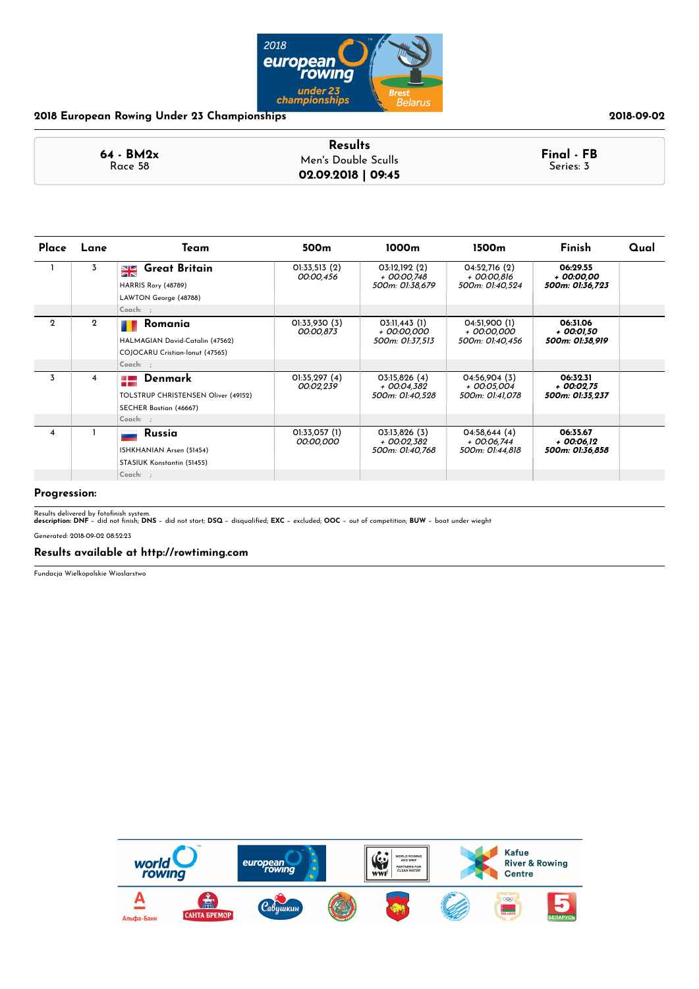

|                        | <b>Results</b>      |                         |
|------------------------|---------------------|-------------------------|
| $64 - BM2x$<br>Race 58 | Men's Double Sculls | Final - FB<br>Series: 3 |
|                        | 02.09.2018   09:45  |                         |

| Place          | Lane           | Team                                                                                              | 500 <sub>m</sub>           | 1000m                                            | 1500m                                           | Finish                                     | Qual |
|----------------|----------------|---------------------------------------------------------------------------------------------------|----------------------------|--------------------------------------------------|-------------------------------------------------|--------------------------------------------|------|
|                | 3              | <b>Great Britain</b><br>$\frac{N}{N}$<br>HARRIS Rory (48789)<br>LAWTON George (48788)<br>Coach: ; | 01:33,513 (2)<br>00:00,456 | 03:12,192 (2)<br>+ 00:00,748<br>500m: 01:38,679  | 04:52,716 (2)<br>+ 00:00,816<br>500m: 01:40,524 | 06:29.55<br>+ 00:00.00<br>500m: 01:36,723  |      |
|                |                |                                                                                                   |                            |                                                  |                                                 |                                            |      |
| $\mathbf{2}$   | $\overline{2}$ | Romania<br>HALMAGIAN David-Catalin (47562)<br>COJOCARU Cristian-Ionut (47565)                     | 01:33,930 (3)<br>00:00,873 | 03:11,443 (1)<br>+ 00:00,000<br>500m: 01:37,513  | 04:51,900 (1)<br>+ 00:00.000<br>500m: 01:40,456 | 06:31.06<br>+ 00:01,50<br>500m: 01:38,919  |      |
|                |                | Coach: ;                                                                                          |                            |                                                  |                                                 |                                            |      |
| 3              | 4              | Denmark<br>TOLSTRUP CHRISTENSEN Oliver (49152)<br>SECHER Bastian (46667)                          | O1:35,297(4)<br>00:02,239  | 03:15,826(4)<br>$+$ 00:04.382<br>500m: 01:40,528 | 04:56,904 (3)<br>+ 00:05.004<br>500m: 01:41,078 | 06:32.31<br>$+00:02.75$<br>500m: 01:35,237 |      |
|                |                | Coach: ;                                                                                          |                            |                                                  |                                                 |                                            |      |
| $\overline{4}$ |                | Russia<br>ISHKHANIAN Arsen (51454)<br>STASIUK Konstantin (51455)                                  | 01:33,057 (1)<br>00:00,000 | 03:13,826 (3)<br>+ 00:02,382<br>500m: 01:40,768  | 04:58,644(4)<br>+ 00:06,744<br>500m: 01:44,818  | 06:35.67<br>$+00:06.12$<br>500m: 01:36,858 |      |
|                |                | $Coach:$ ;                                                                                        |                            |                                                  |                                                 |                                            |      |

**Progression:**

Results delivered by fotofinish system.<br>**description: DNF** − did not finish; **DNS** − did not start; **DSQ** − disqualified; **EXC** − excluded; **OOC** − out of competition; **BUW** − boat under wieght

Generated: 2018-09-02 08:52:23

### **Results available at http://rowtiming.com**

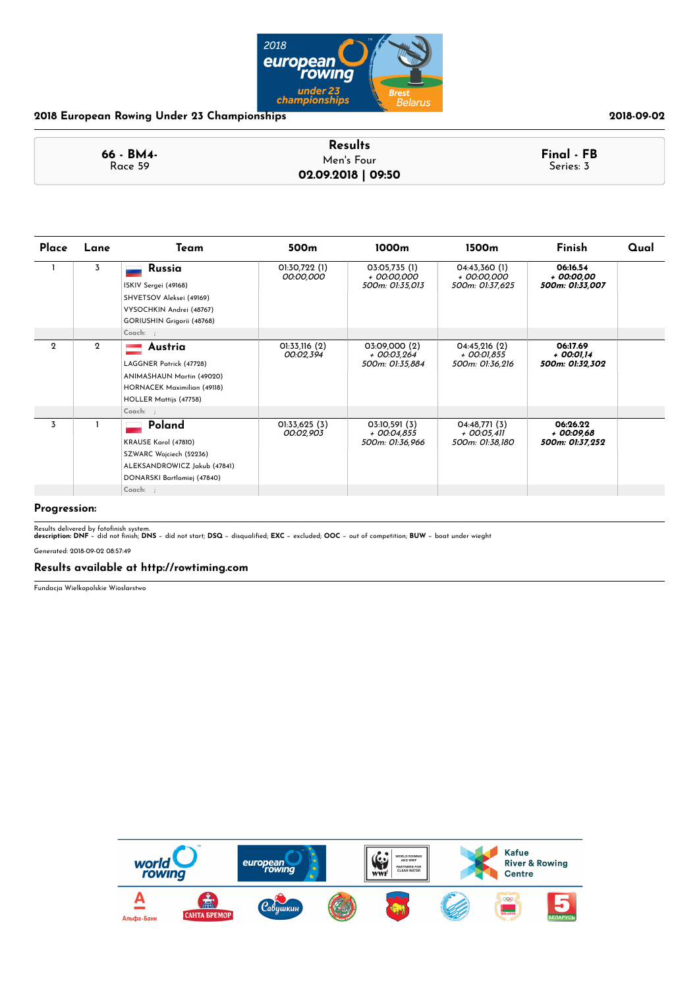

|                      | <b>Results</b>     |                         |
|----------------------|--------------------|-------------------------|
| 66 - BM4-<br>Race 59 | Men's Four         | Final - FB<br>Series: 3 |
|                      | 02.09.2018   09:50 |                         |

| Place       | Lane        | Team                                                                                                                                             | 500m                       | 1000m                                             | 1500 <sub>m</sub>                                | Finish                                     | Qual |
|-------------|-------------|--------------------------------------------------------------------------------------------------------------------------------------------------|----------------------------|---------------------------------------------------|--------------------------------------------------|--------------------------------------------|------|
|             | 3           | Russia<br>ISKIV Sergei (49168)<br>SHVETSOV Aleksei (49169)<br>VYSOCHKIN Andrei (48767)<br>GORIUSHIN Grigorii (48768)                             | 01:30,722 (1)<br>00:00,000 | 03:05,735 (1)<br>+ 00:00,000<br>500m: 01:35,013   | 04:43,360 (1)<br>+ 00:00,000<br>500m: 01:37,625  | 06:16.54<br>+ 00:00,00<br>500m: 01:33,007  |      |
|             |             | Coach: ;                                                                                                                                         |                            |                                                   |                                                  |                                            |      |
| $\mathbf 2$ | $\mathbf 2$ | Austria<br>LAGGNER Patrick (47728)<br>ANIMASHAUN Martin (49020)<br>HORNACEK Maximilian (49118)<br>HOLLER Mattijs (47758)                         | 01:33,116(2)<br>00:02,394  | 03:09,000 (2)<br>+ 00:03,264<br>500m: 01:35,884   | 04:45,216(2)<br>+ 00:01,855<br>500m: 01:36,216   | 06:17.69<br>+ 00:01,14<br>500m: 01:32,302  |      |
| 3           |             | Coach: ;<br>Poland<br>KRAUSE Karol (47810)<br>SZWARC Wojciech (52236)<br>ALEKSANDROWICZ Jakub (47841)<br>DONARSKI Bartlomiej (47840)<br>Coach: ; | 01:33,625 (3)<br>00:02,903 | 03:10,591 (3)<br>$+$ 00:04,855<br>500m: 01:36.966 | 04:48,771(3)<br>$+$ 00:05,411<br>500m: 01:38,180 | 06:26.22<br>$+00:09,68$<br>500m: 01:37,252 |      |

### **Progression:**

Results delivered by fotofinish system.<br>**description: DNF** − did not finish; **DNS** − did not start; **DSQ** − disqualified; **EXC** − excluded; **OOC** − out of competition; **BUW** − boat under wieght

Generated: 2018-09-02 08:57:49

### **Results available at http://rowtiming.com**

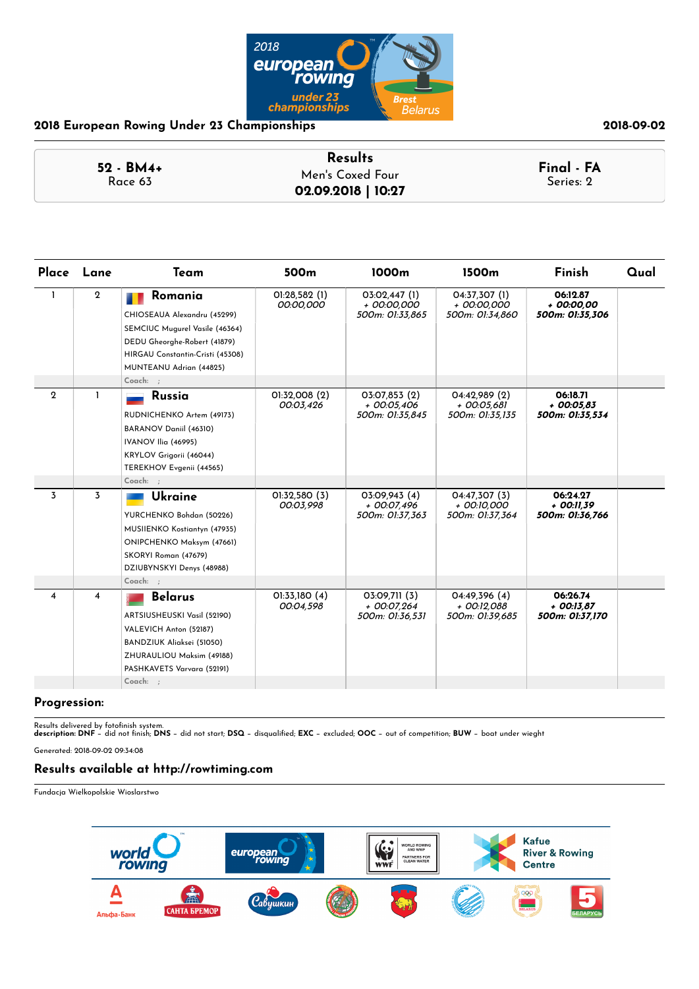

### **52 - BM4+** Race 63 **Results Final - FA** Men's Coxed Four **02.09.2018 | 10:27**

| Place                   | Lane           | Team                                                                                                                                                                    | 500 <sub>m</sub>           | 1000m                                           | 1500m                                           | <b>Finish</b>                               | Qual |
|-------------------------|----------------|-------------------------------------------------------------------------------------------------------------------------------------------------------------------------|----------------------------|-------------------------------------------------|-------------------------------------------------|---------------------------------------------|------|
| 1                       | $\overline{2}$ | Romania<br>CHIOSEAUA Alexandru (45299)<br>SEMCIUC Mugurel Vasile (46364)<br>DEDU Gheorghe-Robert (41879)<br>HIRGAU Constantin-Cristi (45308)<br>MUNTEANU Adrian (44825) | 01:28,582 (1)<br>00:00,000 | 03:02,447 (1)<br>+ 00:00,000<br>500m: 01:33,865 | 04:37,307 (1)<br>+ 00:00.000<br>500m: 01:34,860 | 06:12.87<br>+ 00:00.00<br>500m: 01:35,306   |      |
|                         |                | Coach: ;                                                                                                                                                                |                            |                                                 |                                                 |                                             |      |
| $\overline{2}$          |                | Russia<br>RUDNICHENKO Artem (49173)<br>BARANOV Daniil (46310)<br>IVANOV Ilia (46995)<br>KRYLOV Grigorii (46044)<br>TEREKHOV Evgenii (44565)<br>Coach: ;                 | 01:32,008 (2)<br>00:03,426 | 03:07,853 (2)<br>+ 00:05,406<br>500m: 01:35,845 | 04:42,989 (2)<br>+ 00:05,681<br>500m: 01:35,135 | 06:18.71<br>$+00:05.83$<br>500m: 01:35,534  |      |
| 3                       | 3              |                                                                                                                                                                         | O1:32,58O(3)               | 03:09,943 (4)                                   | 04:47.307 (3)                                   | 06:24.27                                    |      |
|                         |                | Ukraine<br>YURCHENKO Bohdan (50226)<br>MUSIIENKO Kostiantyn (47935)<br>ONIPCHENKO Maksym (47661)<br>SKORYI Roman (47679)<br>DZIUBYNSKYI Denys (48988)                   | 00:03,998                  | + 00:07.496<br>500m: 01:37,363                  | + 00:10.000<br>500m: 01:37,364                  | + 00:11.39<br>500m: 01:36,766               |      |
|                         |                | Coach: ;                                                                                                                                                                |                            |                                                 |                                                 |                                             |      |
| $\overline{\mathbf{4}}$ | 4              | <b>Belarus</b><br>ARTSIUSHEUSKI Vasil (52190)<br>VALEVICH Anton (52187)<br>BANDZIUK Aliaksei (51050)<br>ZHURAULIOU Maksim (49188)<br>PASHKAVETS Varvara (52191)         | 01:33,180 (4)<br>00:04,598 | 03:09,711 (3)<br>+ 00:07.264<br>500m: 01:36,531 | 04:49,396 (4)<br>+ 00:12.088<br>500m: 01:39,685 | 06:26.74<br>$+$ 00:13.87<br>500m: 01:37,170 |      |
|                         |                | Coach: ;                                                                                                                                                                |                            |                                                 |                                                 |                                             |      |

### **Progression:**

Results delivered by fotonish system. **description: DNF** − did not nish; **DNS** − did not start; **DSQ** − disqualied; **EXC** − excluded; **OOC** − out of competition; **BUW** − boat under wieght

Generated: 2018-09-02 09:34:08

### **Results available at http://rowtiming.com**

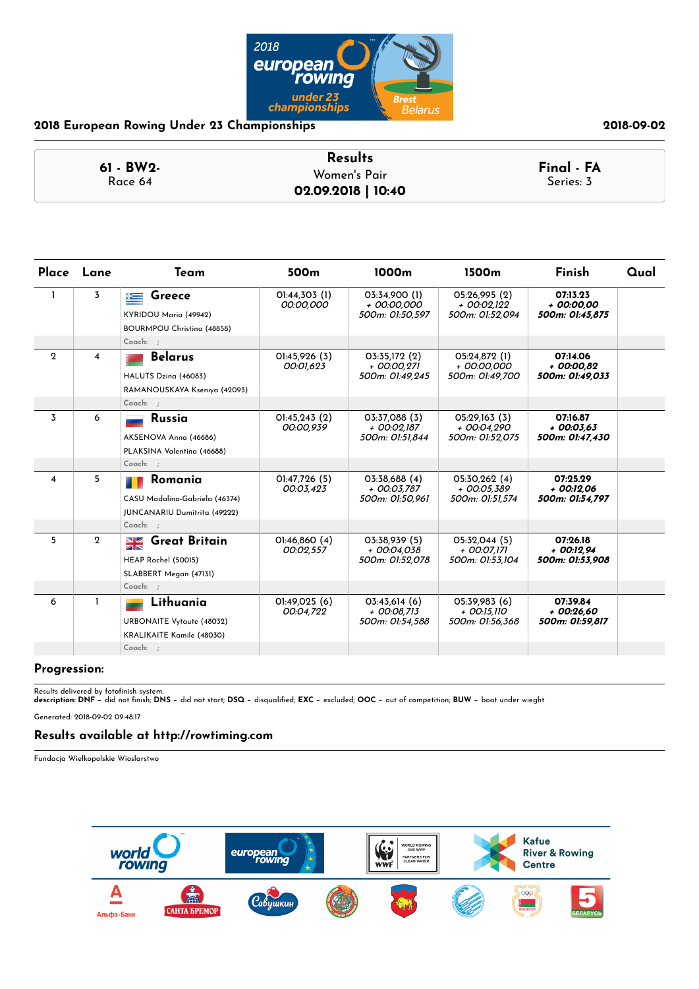

|                         | <b>Results</b>     |                         |
|-------------------------|--------------------|-------------------------|
| $61 - BW2 -$<br>Race 64 | Women's Pair       | Final - FA<br>Series: 3 |
|                         | 02.09.2018   10:40 |                         |

|                         | Place Lane     | Team                                                                                   | 500 <sub>m</sub>           | 1000 <sub>m</sub>                                | 1500 <sub>m</sub>                                 | Finish                                     | Qual |
|-------------------------|----------------|----------------------------------------------------------------------------------------|----------------------------|--------------------------------------------------|---------------------------------------------------|--------------------------------------------|------|
| 1.                      | 3              | Greece<br>连<br>KYRIDOU Maria (49942)<br>BOURMPOU Christina (48858)                     | 01:44,303 (1)<br>00:00,000 | 03:34.900 (1)<br>+ 00:00.000<br>500m: 01:50.597  | 05:26.995 (2)<br>+ 00:02.122<br>500m: 01:52.094   | 07:13.23<br>$+00:00.00$<br>500m: 01:45,875 |      |
|                         |                | Coach: ;                                                                               |                            |                                                  |                                                   |                                            |      |
| $\mathbf 2$             | 4              | <b>Belarus</b><br>HALUTS Dzina (46083)<br>RAMANOUSKAYA Kseniya (42093)<br>Coach: ;     | 01:45,926 (3)<br>00:01,623 | 03:35,172 (2)<br>+ 00:00,271<br>500m: 01:49.245  | 05:24,872 (1)<br>+ 00:00,000<br>500m: 01:49.700   | 07:14.06<br>$+00:00.82$<br>500m: 01:49,033 |      |
| $\overline{3}$          | 6              | <b>Russia</b><br>AKSENOVA Anna (46686)<br>PLAKSINA Valentina (46688)<br>Coach: ;       | 01:45,243 (2)<br>00:00,939 | 03:37,088 (3)<br>+ 00:02,187<br>500m: 01:51,844  | 05:29,163 (3)<br>+ 00:04,290<br>500m: 01:52,075   | 07:16.87<br>$+00:03.63$<br>500m: 01:47,430 |      |
| $\overline{\mathbf{4}}$ | 5              | Romania<br>CASU Madalina-Gabriela (46374)<br>JUNCANARIU Dumitrita (49222)<br>Coach: :  | 01:47,726 (5)<br>00:03,423 | 03:38,688 (4)<br>+ 00:03.787<br>500m: 01:50,961  | 05:30,262 (4)<br>$+$ 00:05.389<br>500m: 01:51,574 | 07:25.29<br>$+00:12.06$<br>500m: 01:54,797 |      |
| 5                       | $\overline{2}$ | <b>Great Britain</b><br>$\frac{N}{N}$<br>HEAP Rachel (50015)<br>SLABBERT Megan (47131) | 0!:46,860(4)<br>00:02.557  | 03:38,939 (5)<br>+ 00:04.038<br>500m: 01:52.078  | 05:32,044 (5)<br>$+$ 00:07.171<br>500m: 01:53.104 | 07:26.18<br>$+00:12.94$<br>500m: 01:53,908 |      |
|                         |                | Coach: ;                                                                               |                            |                                                  |                                                   |                                            |      |
| 6                       |                | Lithuania<br><b>URBONAITE Vytaute (48032)</b><br>KRALIKAITE Kamile (48030)             | 01:49,025 (6)<br>00:04,722 | 03:43,614(6)<br>$+$ 00:08.713<br>500m: 01:54.588 | 05:39,983 (6)<br>+ 00:15.110<br>500m: 01:56.368   | 07:39.84<br>$+00:26.60$<br>500m: 01:59,817 |      |
|                         |                | Coach: ;                                                                               |                            |                                                  |                                                   |                                            |      |

### **Progression:**

Results delivered by fotonish system. **description: DNF** − did not nish; **DNS** − did not start; **DSQ** − disqualied; **EXC** − excluded; **OOC** − out of competition; **BUW** − boat under wieght

Generated: 2018-09-02 09:48:17

### **Results available at http://rowtiming.com**

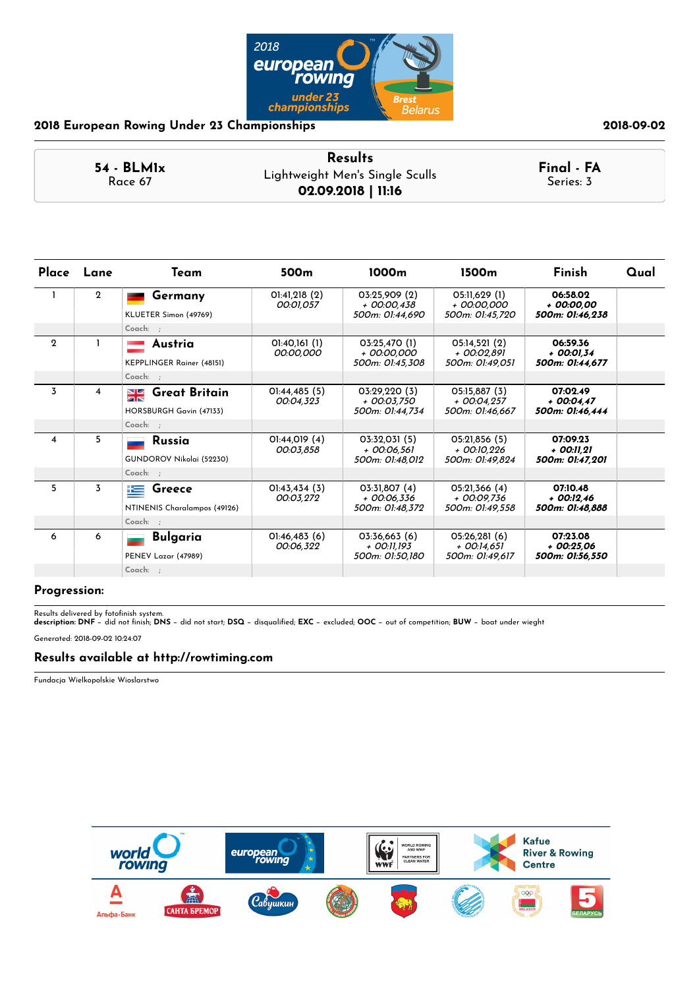

|                         | <b>Results</b>                  |                         |
|-------------------------|---------------------------------|-------------------------|
| $54 - BLM1x$<br>Race 67 | Lightweight Men's Single Sculls | Final - FA<br>Series: 3 |
|                         | 02.09.2018   11:16              |                         |

|                | Place Lane     | Team                                  | 500 <sub>m</sub>           | 1000m                            | 1500m                            | Finish                         | Qual |
|----------------|----------------|---------------------------------------|----------------------------|----------------------------------|----------------------------------|--------------------------------|------|
|                | $\overline{2}$ | Germany                               | O1:41,218(2)<br>00:01.057  | 03:25,909 (2)<br>$+$ 00:00.438   | 05:11,629 (1)<br>+ 00:00.000     | 06:58.02<br>$+00:00.00$        |      |
|                |                | KLUETER Simon (49769)                 |                            | 500m: 01:44.690                  | 500m: 01:45.720                  | 500m: 01:46.238                |      |
|                |                | Coach: ;                              |                            |                                  |                                  |                                |      |
| $\overline{2}$ |                | Austria                               | 01:40,161 (1)<br>00:00,000 | 03:25,470 (1)<br>+ 00:00.000     | O5:14,521(2)<br>+ 00:02.891      | 06:59.36<br>+ 00:01.34         |      |
|                |                | KEPPLINGER Rainer (48151)             |                            | 500m: 01:45.308                  | 500m: 01:49.051                  | 500m: 01:44,677                |      |
|                |                | Coach: :                              |                            |                                  |                                  |                                |      |
| 3              | 4              | <b>Great Britain</b><br>$\frac{N}{N}$ | O1:44,485(5)               | 03:29,220 (3)                    | 05:15.887 (3)                    | 07:02.49                       |      |
|                |                | HORSBURGH Gavin (47133)               | 00:04.323                  | + 00:03.750<br>500m: 01:44,734   | $+$ 00:04.257<br>500m: 01:46,667 | $+00:04.47$<br>500m: 01:46,444 |      |
|                |                | Coach: ;                              |                            |                                  |                                  |                                |      |
| 4              | 5              | Russia                                | 01:44,019 (4)<br>00:03,858 | 03:32,031 (5)<br>$+$ 00:06.561   | 05:21,856 (5)<br>+ 00:10.226     | 07:09.23<br>+ 00:11.21         |      |
|                |                | GUNDOROV Nikolai (52230)              |                            | 500m: 01:48.012                  | 500m: 01:49.824                  | 500m: 01:47,201                |      |
|                |                | Coach: :                              |                            |                                  |                                  |                                |      |
| 5              | 3              | Greece<br>上手                          | $O$ l:43,434 $(3)$         | 03:31.807(4)                     | O5:21,366(4)                     | 07:10.48                       |      |
|                |                | NTINENIS Charalampos (49126)          | 00:03,272                  | $+$ 00:06.336<br>500m: 01:48,372 | + 00:09.736<br>500m: 01:49,558   | $+00:12.46$<br>500m: 01:48,888 |      |
|                |                | Coach: ;                              |                            |                                  |                                  |                                |      |
| 6              | 6              | <b>Bulgaria</b>                       | O1:46,483(6)               | 03:36,663 (6)                    | 05:26.281(6)                     | 07:23.08                       |      |
|                |                | PENEV Lazar (47989)                   | 00:06.322                  | + 00:11.193<br>500m: 01:50.180   | $+$ 00:14.651<br>500m: 01:49,617 | $+00:25.06$<br>500m: 01:56,550 |      |
|                |                | $Coach:$ :                            |                            |                                  |                                  |                                |      |

### **Progression:**

Results delivered by fotonish system. **description: DNF** − did not nish; **DNS** − did not start; **DSQ** − disqualied; **EXC** − excluded; **OOC** − out of competition; **BUW** − boat under wieght Generated: 2018-09-02 10:24:07

# **Results available at http://rowtiming.com**

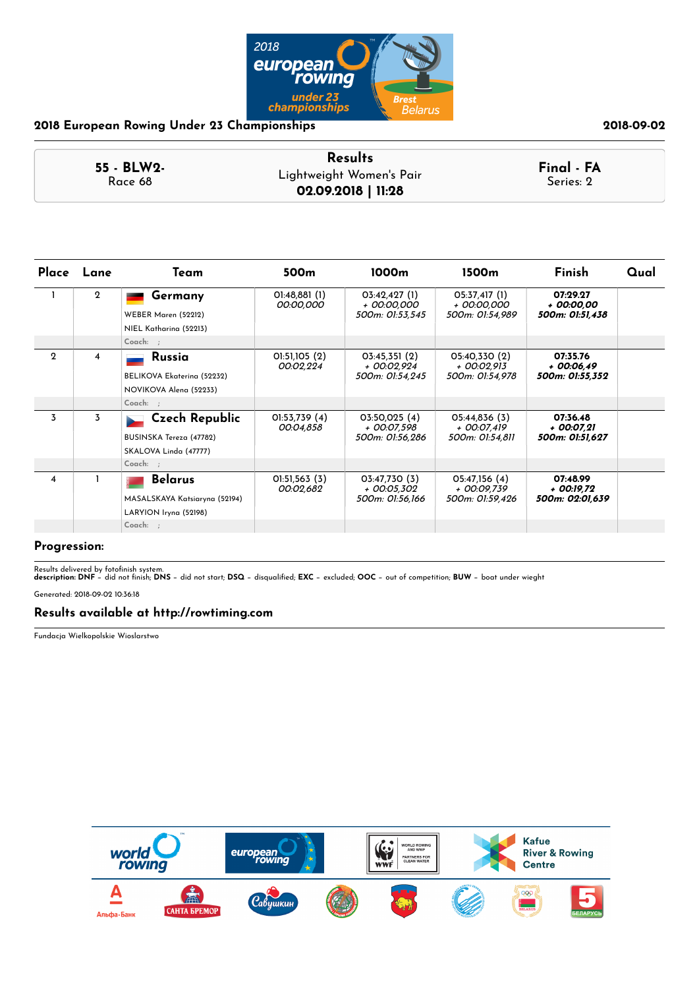

|            | <b>Results</b>           |            |
|------------|--------------------------|------------|
| 55 - BLW2- | Lightweight Women's Pair | Final - FA |
| Race 68    | 02.09.2018   11:28       | Series: 2  |

| Place        | Lane        | Team                                                                      | 500 <sub>m</sub>           | 1000m                                           | 1500m                                           | Finish                                    | Qual |
|--------------|-------------|---------------------------------------------------------------------------|----------------------------|-------------------------------------------------|-------------------------------------------------|-------------------------------------------|------|
|              | $\mathbf 2$ | Germany<br><b>WEBER Maren (52212)</b><br>NIEL Katharina (52213)           | O1:48,881(1)<br>00:00,000  | 03:42,427(1)<br>+ 00:00,000<br>500m: 01:53,545  | 05:37,417 (1)<br>+ 00:00,000<br>500m: 01:54,989 | 07:29.27<br>+ 00:00,00<br>500m: 01:51,438 |      |
|              |             | Coach: ;                                                                  |                            |                                                 |                                                 |                                           |      |
| $\mathbf{2}$ | 4           | Russia<br>BELIKOVA Ekaterina (52232)<br>NOVIKOVA Alena (52233)            | 01:51,105 (2)<br>00:02,224 | 03:45,351(2)<br>+ 00:02,924<br>500m: 01:54,245  | 05:40,330 (2)<br>+ 00:02,913<br>500m: 01:54,978 | 07:35.76<br>+ 00:06.49<br>500m: 01:55,352 |      |
|              |             | Coach: ;                                                                  |                            |                                                 |                                                 |                                           |      |
| 3            | 3           | <b>Czech Republic</b><br>BUSINSKA Tereza (47782)<br>SKALOVA Linda (47777) | 01:53,739 (4)<br>00:04,858 | 03:50,025 (4)<br>+ 00:07,598<br>500m: 01:56,286 | 05:44,836 (3)<br>+ 00:07,419<br>500m: 01:54,811 | 07:36.48<br>+ 00:07,21<br>500m: 01:51,627 |      |
|              |             | Coach: ;                                                                  |                            |                                                 |                                                 |                                           |      |
| 4            |             | <b>Belarus</b><br>MASALSKAYA Katsiaryna (52194)<br>LARYION Iryna (52198)  | O1:51,563(3)<br>00:02,682  | 03:47,730 (3)<br>+ 00:05,302<br>500m: 01:56,166 | 05:47,156 (4)<br>+ 00:09,739<br>500m: 01:59,426 | 07:48.99<br>+ 00:19,72<br>500m: 02:01,639 |      |
|              |             | $Coach:$ ;                                                                |                            |                                                 |                                                 |                                           |      |

### **Progression:**

Results delivered by fotonish system. **description: DNF** − did not nish; **DNS** − did not start; **DSQ** − disqualied; **EXC** − excluded; **OOC** − out of competition; **BUW** − boat under wieght

Generated: 2018-09-02 10:36:18

### **Results available at http://rowtiming.com**

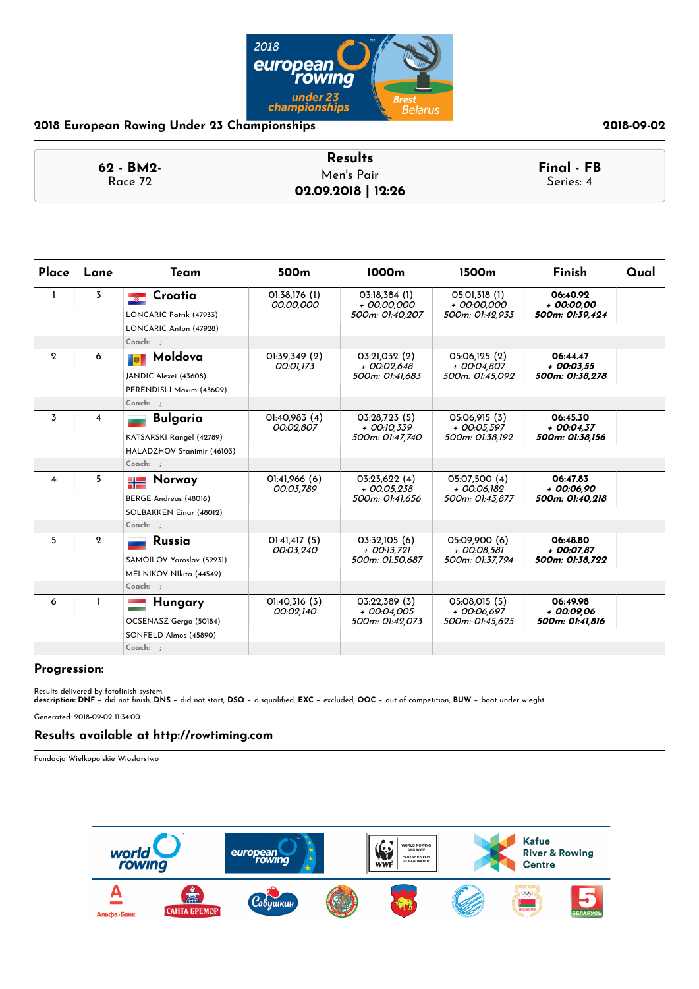

| 62 - BM2- | <b>Results</b>     | Final - FB |
|-----------|--------------------|------------|
| Race 72   | Men's Pair         | Series: 4  |
|           | 02.09.2018   12:26 |            |

| Place        | Lane                    | Team                                                                                  | 500 <sub>m</sub>               | 1000m                                             | 1500 <sub>m</sub>                                 | Finish                                     | Qual |
|--------------|-------------------------|---------------------------------------------------------------------------------------|--------------------------------|---------------------------------------------------|---------------------------------------------------|--------------------------------------------|------|
| $\mathbf{1}$ | 3                       | Croatia<br>LONCARIC Patrik (47933)<br>LONCARIC Anton (47928)                          | 01:38,176 (1)<br>00:00,000     | 03:18,384(1)<br>+ 00:00.000<br>500m: 01:40,207    | 05:01,318 (1)<br>+ 00:00,000<br>500m: 01:42,933   | 06:40.92<br>$+00:00.00$<br>500m: 01:39,424 |      |
|              |                         | Coach: :                                                                              |                                |                                                   |                                                   |                                            |      |
| $\mathbf{2}$ | 6                       | Moldova<br>■韓<br>JANDIC Alexei (43608)<br>PERENDISLI Maxim (43609)<br>Coach: ;        | 01:39,349 (2)<br>00:01,173     | 03:21,032 (2)<br>$+$ 00:02,648<br>500m: 01:41.683 | 05:06,125 (2)<br>+ 00:04.807<br>500m: 01:45.092   | 06:44.47<br>$+00:03.55$<br>500m: 01:38.278 |      |
| 3            | $\overline{\mathbf{4}}$ | <b>Bulgaria</b><br>KATSARSKI Rangel (42789)<br>HALADZHOV Stanimir (46103)<br>Coach: ; | O1:4O,983(4)<br>00:02,807      | 03:28,723 (5)<br>+ 00:10,339<br>500m: 01:47.740   | 05:06,915 (3)<br>$+$ 00:05,597<br>500m: 01:38.192 | 06:45.30<br>$+00:04,37$<br>500m: 01:38.156 |      |
| 4            | 5                       | Norway<br>BERGE Andreas (48016)<br>SOLBAKKEN Einar (48012)<br>Coach: ;                | 01:41,966 (6)<br>00:03,789     | 03:23,622(4)<br>$+$ 00:05,238<br>500m: 01:41.656  | 05:07,500 (4)<br>+ 00:06,182<br>500m: 01:43.877   | 06:47.83<br>$+00:06,90$<br>500m: 01:40.218 |      |
| 5            | $\overline{2}$          | Russia<br>SAMOILOV Yaroslav (52231)<br>MELNIKOV NIkita (44549)<br>Coach: ;            | $O$ :41,417 $(5)$<br>00:03,240 | 03:32,105 (6)<br>+ 00:13.721<br>500m: 01:50.687   | 05:09.900 (6)<br>+ 00:08.581<br>500m: 01:37.794   | 06:48.80<br>+ 00:07.87<br>500m: 01:38.722  |      |
| 6            |                         | Hungary                                                                               | 01:40,316 (3)                  | 03:22.389(3)                                      | 05:08.015 (5)                                     | 06:49.98                                   |      |
|              |                         | OCSENASZ Gergo (50184)<br>SONFELD Almos (45890)                                       | 00:02,140                      | + 00:04.005<br>500m: 01:42,073                    | + 00:06.697<br>500m: 01:45,625                    | $+00:09.06$<br>500m: 01:41,816             |      |
|              |                         | Coach: ;                                                                              |                                |                                                   |                                                   |                                            |      |

### **Progression:**

Results delivered by fotonish system. **description: DNF** − did not nish; **DNS** − did not start; **DSQ** − disqualied; **EXC** − excluded; **OOC** − out of competition; **BUW** − boat under wieght

Generated: 2018-09-02 11:34:00

### **Results available at http://rowtiming.com**

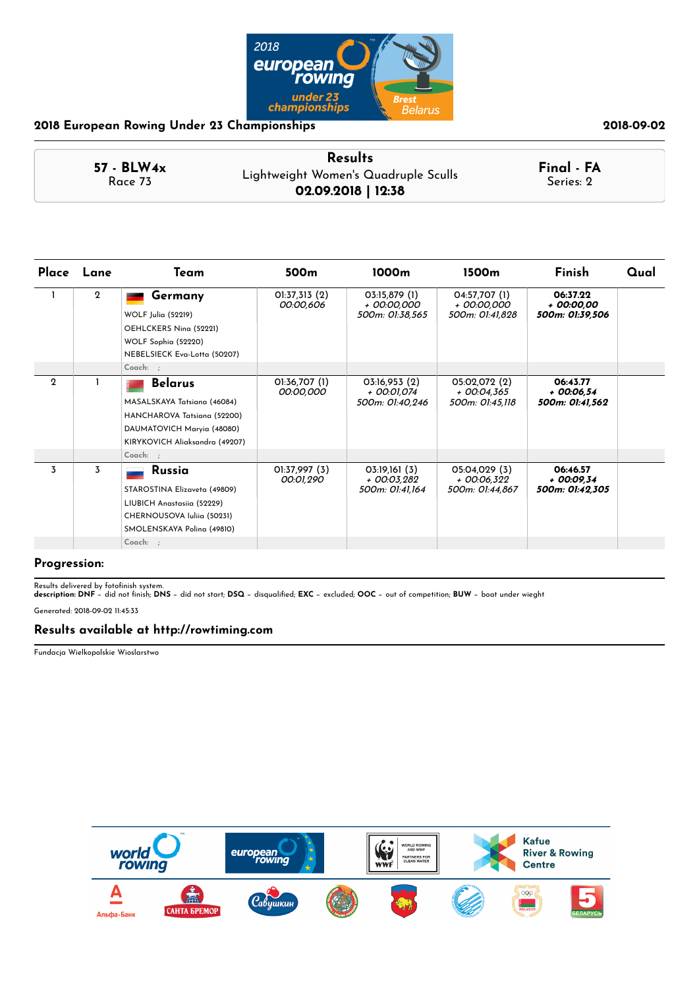

|                         | <b>Results</b>                       |                         |
|-------------------------|--------------------------------------|-------------------------|
| $57 - BLW4x$<br>Race 73 | Lightweight Women's Quadruple Sculls | Final - FA<br>Series: 2 |
|                         | 02.09.2018   12:38                   |                         |

| Place       | Lane        | Team                                                                                                                                                     | 500 <sub>m</sub>           | 1000m                                           | 1500m                                           | Finish                                     | Qual |
|-------------|-------------|----------------------------------------------------------------------------------------------------------------------------------------------------------|----------------------------|-------------------------------------------------|-------------------------------------------------|--------------------------------------------|------|
|             | $\mathbf 2$ | Germany<br>WOLF Julia (52219)<br>OEHLCKERS Nina (52221)<br>WOLF Sophia (52220)<br>NEBELSIECK Eva-Lotta (50207)                                           | O1:37,313(2)<br>00:00,606  | 03:15,879 (1)<br>+ 00:00,000<br>500m: 01:38,565 | 04:57,707 (1)<br>+ 00:00,000<br>500m: 01:41,828 | 06:37.22<br>+ 00:00,00<br>500m: 01:39,506  |      |
|             |             | Coach: ;                                                                                                                                                 |                            |                                                 |                                                 |                                            |      |
| $\mathbf 2$ |             | <b>Belarus</b><br>MASALSKAYA Tatsiana (46084)<br>HANCHAROVA Tatsiana (52200)<br>DAUMATOVICH Maryia (48080)<br>KIRYKOVICH Aliaksandra (49207)<br>Coach: ; | 01:36,707 (1)<br>00:00,000 | 03:16,953(2)<br>+ 00:01,074<br>500m: 01:40,246  | 05:02,072 (2)<br>+ 00:04,365<br>500m: 01:45,118 | 06:43.77<br>$+00:06,54$<br>500m: 01:41,562 |      |
| 3           | 3           | <b>Russia</b><br>STAROSTINA Elizaveta (49809)<br>LIUBICH Anastasiia (52229)<br>CHERNOUSOVA Iuliia (50231)<br>SMOLENSKAYA Polina (49810)<br>Coach: ;      | 01:37,997 (3)<br>00:01,290 | 03:19,161(3)<br>+ 00:03,282<br>500m: 01:41,164  | 05:04,029 (3)<br>+ 00:06,322<br>500m: 01:44,867 | 06:46.57<br>+ 00:09,34<br>500m: 01:42,305  |      |

### **Progression:**

Results delivered by fotonish system. **description: DNF** − did not nish; **DNS** − did not start; **DSQ** − disqualied; **EXC** − excluded; **OOC** − out of competition; **BUW** − boat under wieght

Generated: 2018-09-02 11:45:33

### **Results available at http://rowtiming.com**

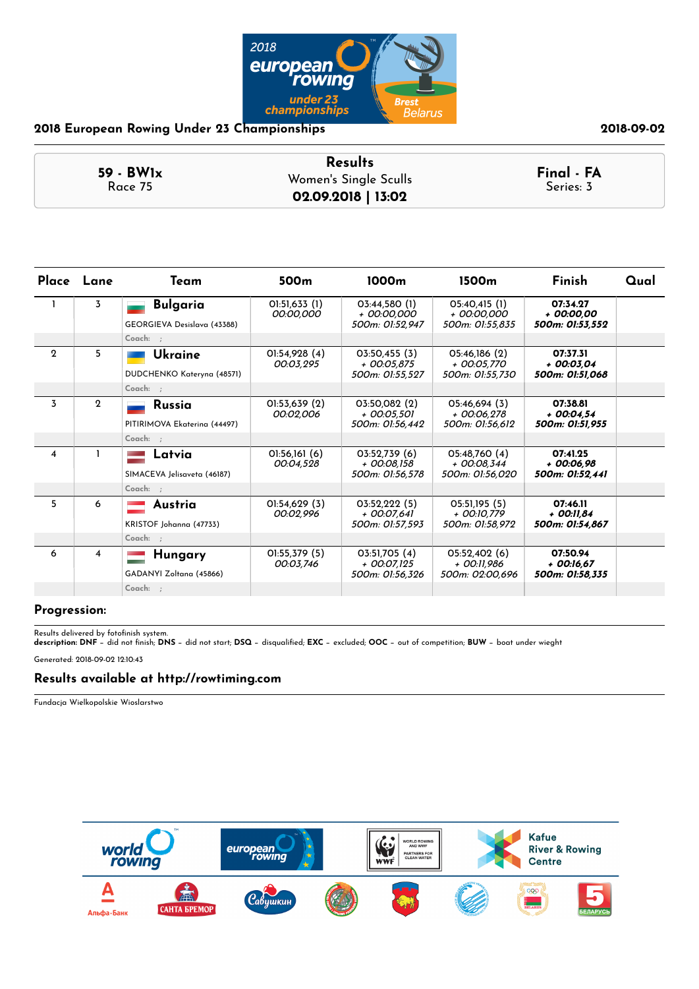

|             | <b>Results</b>        |            |
|-------------|-----------------------|------------|
| $59 - BW1x$ | Women's Single Sculls | Final - FA |
| Race 75     | 02.09.2018   13:02    | Series: 3  |

|              | Place Lane     | Team                                           | 500 <sub>m</sub>           | 1000m                                             | 1500 <sub>m</sub>                               | <b>Finish</b>                               | Qual |
|--------------|----------------|------------------------------------------------|----------------------------|---------------------------------------------------|-------------------------------------------------|---------------------------------------------|------|
|              | 3              | <b>Bulgaria</b><br>GEORGIEVA Desislava (43388) | 01:51,633 (1)<br>00:00,000 | 03:44.580(1)<br>+ 00:00.000<br>500m: 01:52.947    | 05:40.415(1)<br>+ 00:00.000<br>500m: 01:55.835  | 07:34.27<br>+ 00:00.00<br>500m: 01:53.552   |      |
|              |                | Coach: ;                                       |                            |                                                   |                                                 |                                             |      |
| $\mathbf{2}$ | 5              | Ukraine<br>DUDCHENKO Kateryna (48571)          | 01:54,928 (4)<br>00:03.295 | 03:50,455 (3)<br>$+$ 00:05.875<br>500m: 01:55.527 | 05:46.186 (2)<br>+ 00:05.770<br>500m: 01:55.730 | 07:37.31<br>$+00:03.04$<br>500m: 01:51.068  |      |
|              |                | Coach: ;                                       |                            |                                                   |                                                 |                                             |      |
| 3            | $\mathbf{2}$   | <b>Russia</b><br>PITIRIMOVA Ekaterina (44497)  | 01:53.639(2)<br>00:02.006  | 03:50.082 (2)<br>$+$ 00:05.501<br>500m: 01:56.442 | 05:46.694 (3)<br>+ 00:06.278<br>500m: 01:56.612 | 07:38.81<br>$+00:04.54$<br>500m: 01:51.955  |      |
|              |                | Coach: ;                                       |                            |                                                   |                                                 |                                             |      |
| 4            |                | Latvia<br>SIMACEVA Jelisaveta (46187)          | 01:56,161(6)<br>00:04.528  | 03:52,739(6)<br>+ 00:08,158<br>500m: 01:56,578    | 05:48,760 (4)<br>+ 00:08,344<br>500m: 01:56.020 | 07:41.25<br>$+00:06.98$<br>500m: 01:52.441  |      |
|              |                | $Coach:$ :                                     |                            |                                                   |                                                 |                                             |      |
| 5            | 6              | Austria<br>KRISTOF Johanna (47733)             | O1:54,629(3)<br>00:02,996  | 03:52,222(5)<br>$+$ 00:07.641<br>500m: 01:57,593  | O5:51,195(5)<br>+ 00:10.779<br>500m: 01:58,972  | 07:46.11<br>$+$ 00:11.84<br>500m: 01:54,867 |      |
|              |                | Coach: ;                                       |                            |                                                   |                                                 |                                             |      |
| 6            | $\overline{4}$ | Hungary<br>GADANYI Zoltana (45866)             | 01:55,379 (5)<br>00:03.746 | 03:51,705 (4)<br>+ 00:07.125<br>500m: 01:56,326   | 05:52.402 (6)<br>+ 00:11.986<br>500m: 02:00.696 | 07:50.94<br>+ 00:16.67<br>500m: 01:58.335   |      |
|              |                | Coach: ;                                       |                            |                                                   |                                                 |                                             |      |

### **Progression:**

Results delivered by fotofinish system.<br>**description: DNF** − did not finish; **DNS** − did not start; **DSQ** − disqualified; **EXC** − excluded; **OOC** − out of competition; **BUW** − boat under wieght Generated: 2018-09-02 12:10:43

### **Results available at http://rowtiming.com**

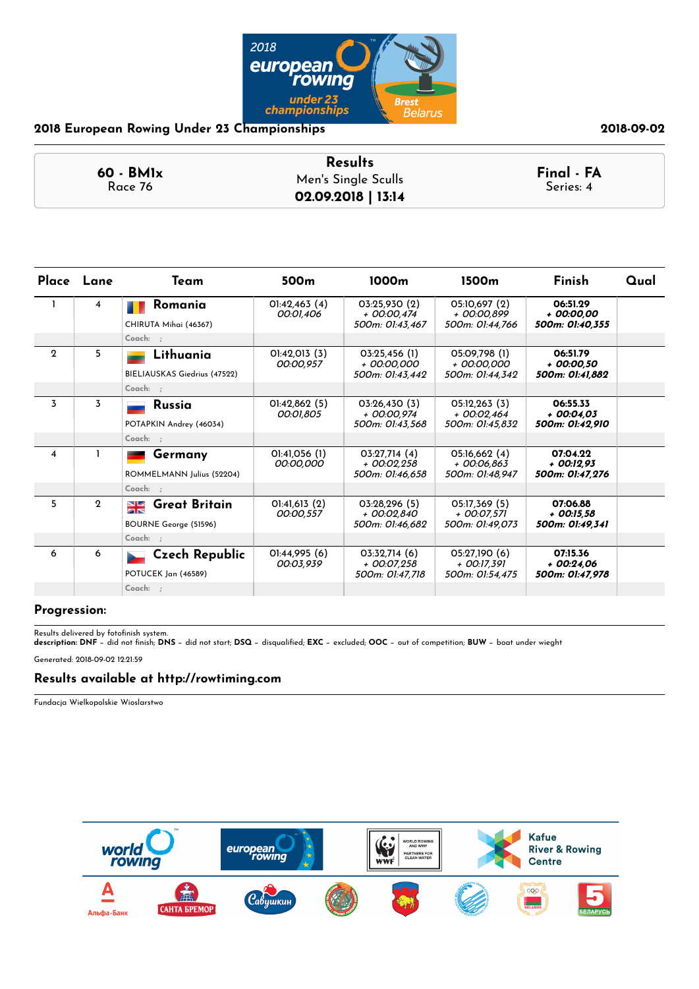

### **60 - BM1x** Race 76 **Results Final - FA** Men's Single Sculls **02.09.2018 | 13:14**

|                | Place Lane   | Team                                             | 500 <sub>m</sub>           | 1000m                                           | 1500 <sub>m</sub>                                | <b>Finish</b>                               | Qual |
|----------------|--------------|--------------------------------------------------|----------------------------|-------------------------------------------------|--------------------------------------------------|---------------------------------------------|------|
|                | 4            | Romania<br>CHIRUTA Mihai (46367)                 | O1:42,463(4)<br>00:01,406  | 03:25.930(2)<br>+ 00:00.474<br>500m: 01:43.467  | 05:10.697 (2)<br>+ 00:00.899<br>500m: 01:44.766  | 06:51.29<br>+ 00:00.00<br>500m: 01:40.355   |      |
|                |              | $Coach:$ :                                       |                            |                                                 |                                                  |                                             |      |
| $\mathbf{2}$   | 5            | Lithuania<br>BIELIAUSKAS Giedrius (47522)        | 0!:42,013(3)<br>00:00.957  | 03:25,456 (1)<br>+ 00:00.000<br>500m: 01:43.442 | 05:09.798 (1)<br>+ 00:00.000<br>500m: 01:44,342  | 06:51.79<br>+ 00:00.50<br>500m: 01:41.882   |      |
|                |              | Coach: ;                                         |                            |                                                 |                                                  |                                             |      |
| $\overline{3}$ | 3            | <b>Russia</b><br>POTAPKIN Andrey (46034)         | 0!:42.862(5)<br>00:01.805  | 03:26.430(3)<br>+ 00:00.974<br>500m: 01:43,568  | O5:12.263(3)<br>$+$ 00:02.464<br>500m: 01:45,832 | 06:55.33<br>$+00:04.03$<br>500m: 01:42,910  |      |
|                |              | Coach: ;                                         |                            |                                                 |                                                  |                                             |      |
| 4              |              | Germany<br>ROMMELMANN Julius (52204)             | 01:41,056 (1)<br>00:00.000 | 03:27,714(4)<br>+ 00:02.258<br>500m: 01:46.658  | 05:16,662 (4)<br>+ 00:06.863<br>500m: 01:48.947  | 07:04.22<br>+ 00:12.93<br>500m: 01:47.276   |      |
|                |              | $Coach:$ :                                       |                            |                                                 |                                                  |                                             |      |
| 5              | $\mathbf{2}$ | <b>SK</b> Great Britain<br>BOURNE George (51596) | 01:41,613(2)<br>00:00,557  | 03:28,296 (5)<br>+ 00:02.840<br>500m: 01:46,682 | 05:17,369 (5)<br>+ 00:07.571<br>500m: 01:49.073  | 07:06.88<br>$+$ 00:15.58<br>500m: 01:49,341 |      |
|                |              | Coach: ;                                         |                            |                                                 |                                                  |                                             |      |
| 6              | 6            | Czech Republic<br>POTUCEK Jan (46589)            | 01:44,995(6)<br>00:03.939  | 03:32.714(6)<br>+ 00:07.258<br>500m: 01:47.718  | 05:27.190 (6)<br>+ 00:17.391<br>500m: 01:54,475  | 07:15.36<br>+ 00:24.06<br>500m: 01:47.978   |      |
|                |              | Coach: ;                                         |                            |                                                 |                                                  |                                             |      |

### **Progression:**

Results delivered by fotofinish system.<br>**description: DNF** − did not finish; **DNS** − did not start; **DSQ** − disqualified; **EXC** − excluded; **OOC** − out of competition; **BUW** − boat under wieght Generated: 2018-09-02 12:21:59

## **Results available at http://rowtiming.com**

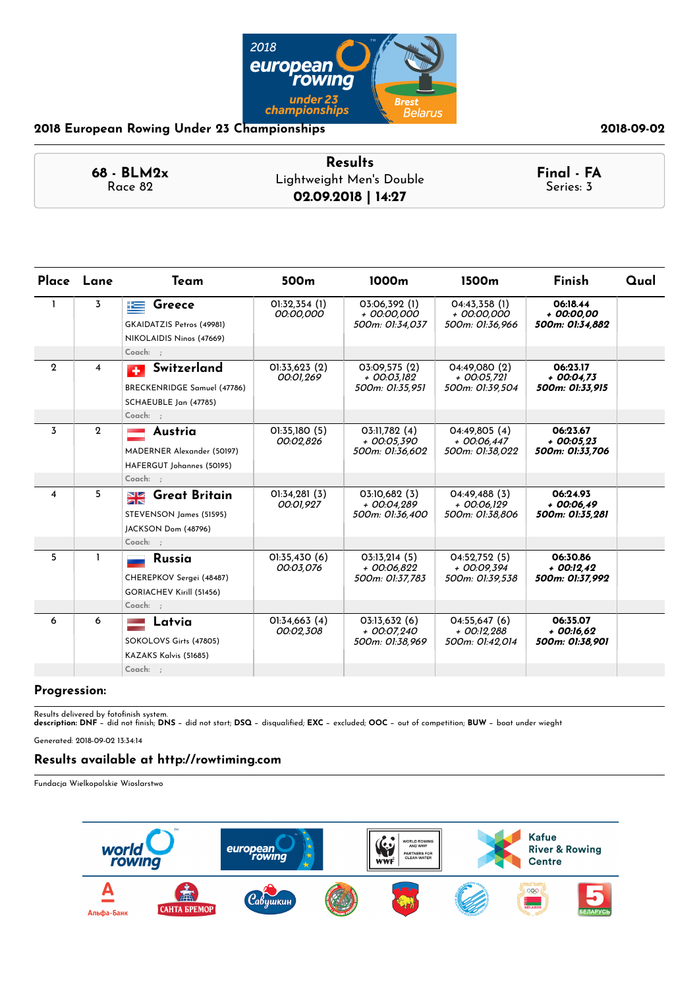

| <b>Results</b> |                                                |
|----------------|------------------------------------------------|
|                | Final - FA<br>Series: 3                        |
|                | Lightweight Men's Double<br>02.09.2018   14:27 |

| Place Lane              |                         | Team                                                                                    | 500 <sub>m</sub>           | 1000m                                           | 1500 <sub>m</sub>                                 | Finish                                      | Qual |
|-------------------------|-------------------------|-----------------------------------------------------------------------------------------|----------------------------|-------------------------------------------------|---------------------------------------------------|---------------------------------------------|------|
| $\mathbf{I}$            | 3                       | Greece<br>上<br>GKAIDATZIS Petros (49981)<br>NIKOLAIDIS Ninos (47669)                    | 01:32,354 (1)<br>00:00,000 | 03:06,392 (1)<br>+ 00:00.000<br>500m: 01:34,037 | 04:43,358(1)<br>+ 00:00.000<br>500m: 01:36,966    | 06:18.44<br>+ 00:00.00<br>500m: 01:34,882   |      |
|                         |                         | Coach: ;                                                                                |                            |                                                 |                                                   |                                             |      |
| $\mathbf{2}$            | $\overline{\mathbf{4}}$ | Switzerland<br>$\mathbf{F}$<br>BRECKENRIDGE Samuel (47786)<br>SCHAEUBLE Jan (47785)     | 01:33,623(2)<br>00:01,269  | 03:09.575 (2)<br>+ 00:03.182<br>500m: 01:35,951 | 04:49.080 (2)<br>+ 00:05.721<br>500m: 01:39,504   | 06:23.17<br>$+00:04.73$<br>500m: 01:33,915  |      |
|                         |                         | Coach: ;                                                                                |                            |                                                 |                                                   |                                             |      |
| $\overline{3}$          | $\mathbf{2}$            | Austria<br>MADERNER Alexander (50197)<br>HAFERGUT Johannes (50195)                      | 01:35,180 (5)<br>00:02,826 | 03:11,782 (4)<br>+ 00:05.390<br>500m: 01:36,602 | 04:49,805 (4)<br>$+$ 00:06.447<br>500m: 01:38,022 | 06:23.67<br>$+00:05.23$<br>500m: 01:33,706  |      |
|                         |                         | $Coach:$ :                                                                              |                            |                                                 |                                                   |                                             |      |
| $\overline{\mathbf{4}}$ | 5                       | <b>Great Britain</b><br>$\frac{N}{N}$<br>STEVENSON James (51595)<br>JACKSON Dom (48796) | 01:34,281(3)<br>00:01,927  | 03:10,682 (3)<br>+ 00:04,289<br>500m: 01:36.400 | 04:49,488 (3)<br>+ 00:06,129<br>500m: 01:38,806   | 06:24.93<br>$+00:06.49$<br>500m: 01:35,281  |      |
|                         |                         | $Coach:$ ;                                                                              |                            |                                                 |                                                   |                                             |      |
| 5                       | $\mathbf{I}$            | <b>Russia</b><br>CHEREPKOV Sergei (48487)<br>GORIACHEV Kirill (51456)                   | 01:35,430 (6)<br>00:03,076 | 03:13,214(5)<br>+ 00:06,822<br>500m: 01:37.783  | 04:52,752 (5)<br>+ 00:09,394<br>500m: 01:39.538   | 06:30.86<br>$+00:12.42$<br>500m: 01:37.992  |      |
|                         |                         | Coach: ;                                                                                |                            |                                                 |                                                   |                                             |      |
| 6                       | 6                       | Latvia<br>SOKOLOVS Girts (47805)<br>KAZAKS Kalvis (51685)                               | O1:34,663(4)<br>00:02,308  | 03:13,632(6)<br>+ 00:07,240<br>500m: 01:38.969  | 04:55,647(6)<br>$+$ 00:12,288<br>500m: 01:42,014  | 06:35.07<br>$+$ 00:16,62<br>500m: 01:38.901 |      |
|                         |                         | $Coach:$ ;                                                                              |                            |                                                 |                                                   |                                             |      |

### **Progression:**

Results delivered by fotofinish system.<br>**description: DNF** − did not finish; **DNS** − did not start; **DSQ** − disqualified; **EXC** − excluded; **OOC** − out of competition; **BUW** − boat under wieght

Generated: 2018-09-02 13:34:14

### **Results available at http://rowtiming.com**

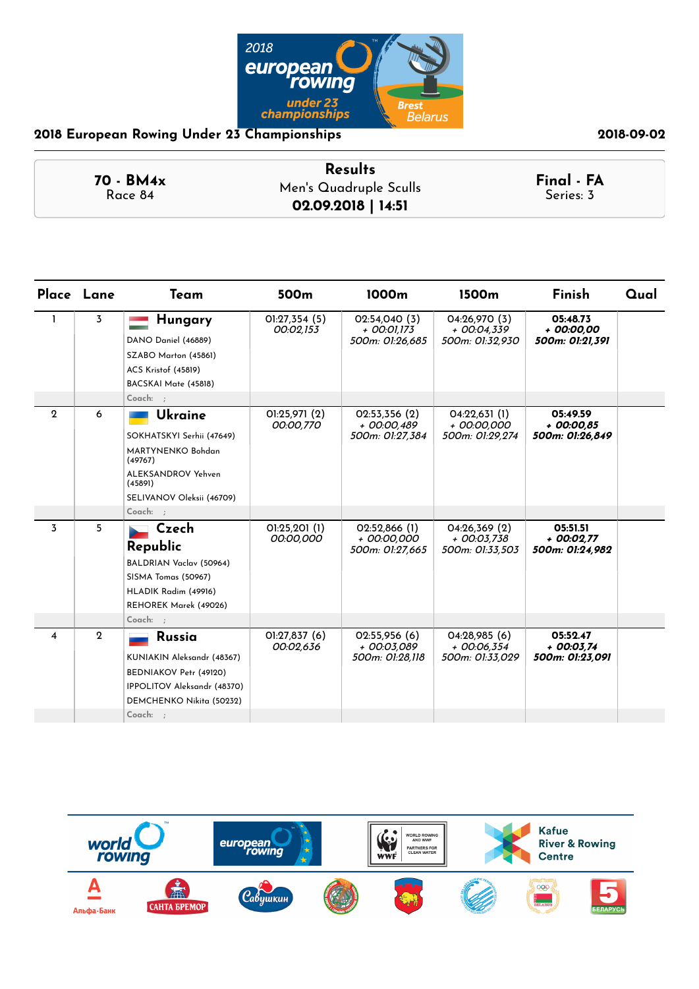

| 70 - BM4x | <b>Results</b>         | Final - FA |  |
|-----------|------------------------|------------|--|
| Race 84   | Men's Quadruple Sculls | Series: 3  |  |
|           | 02.09.2018   14:51     |            |  |

|             | Place Lane   | Team                                                                                                                                           | 500m                      | 1000m                                             | 1500m                                             | Finish                                      | Qual |
|-------------|--------------|------------------------------------------------------------------------------------------------------------------------------------------------|---------------------------|---------------------------------------------------|---------------------------------------------------|---------------------------------------------|------|
| 1           | 3            | Hungary<br>DANO Daniel (46889)<br>SZABO Marton (45861)<br><b>ACS Kristof (45819)</b><br>BACSKAI Mate (45818)<br>Coach: ;                       | O1:27,354(5)<br>00:02,153 | 02:54.040 (3)<br>$+$ 00:01.173<br>500m: 01:26,685 | 04:26.970 (3)<br>$+$ 00:04.339<br>500m: 01:32,930 | 05:48.73<br>+ 00:00.00<br>500m: 01:21,391   |      |
| $\mathbf 2$ | 6            | Ukraine<br>SOKHATSKYI Serhii (47649)<br>MARTYNENKO Bohdan<br>(49767)<br>ALEKSANDROV Yehven<br>(45891)<br>SELIVANOV Oleksii (46709)<br>Coach: ; | O1:25.971(2)<br>00:00,770 | 02:53,356(2)<br>+ 00:00,489<br>500m: 01:27,384    | 04:22,631(1)<br>+ 00:00,000<br>500m: 01:29,274    | 05:49.59<br>$+$ 00:00,85<br>500m: 01:26,849 |      |
| 3           | 5            | Czech<br>Republic<br>BALDRIAN Vaclav (50964)<br>SISMA Tomas (50967)<br>HLADIK Radim (49916)<br>REHOREK Marek (49026)<br>Coach: ;               | 01:25,201(1)<br>00:00,000 | 02:52,866 (1)<br>+ 00:00.000<br>500m: 01:27,665   | 04:26,369(2)<br>+ 00:03.738<br>500m: 01:33,503    | 05:51.51<br>$+00:02.77$<br>500m: 01:24,982  |      |
| 4           | $\mathbf{2}$ | <b>Russia</b><br>KUNIAKIN Aleksandr (48367)<br>BEDNIAKOV Petr (49120)<br>IPPOLITOV Aleksandr (48370)<br>DEMCHENKO Nikita (50232)<br>Coach: ;   | O1:27,837(6)<br>00:02,636 | 02:55,956 (6)<br>+ 00:03.089<br>500m: 01:28.118   | 04:28.985(6)<br>$+$ 00:06.354<br>500m: 01:33.029  | 05:52.47<br>$+00:03.74$<br>500m: 01:23,091  |      |